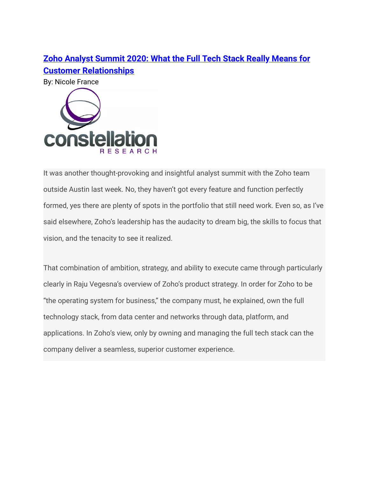## **Zoho Analyst [Summit](https://www.constellationr.com/blog-news/zoho-analyst-summit-2020-what-full-tech-stack-really-means-customer-relationships) 2020: What the Full Tech Stack Really Means for Customer [Relationships](https://www.constellationr.com/blog-news/zoho-analyst-summit-2020-what-full-tech-stack-really-means-customer-relationships)**

By: Nicole France



It was another thought-provoking and insightful analyst summit with the Zoho team outside Austin last week. No, they haven't got every feature and function perfectly formed, yes there are plenty of spots in the portfolio that still need work. Even so, as I've said elsewhere, Zoho's leadership has the audacity to dream big, the skills to focus that vision, and the tenacity to see it realized.

That combination of ambition, strategy, and ability to execute came through particularly clearly in Raju Vegesna's overview of Zoho's product strategy. In order for Zoho to be "the operating system for business," the company must, he explained, own the full technology stack, from data center and networks through data, platform, and applications. In Zoho's view, only by owning and managing the full tech stack can the company deliver a seamless, superior customer experience.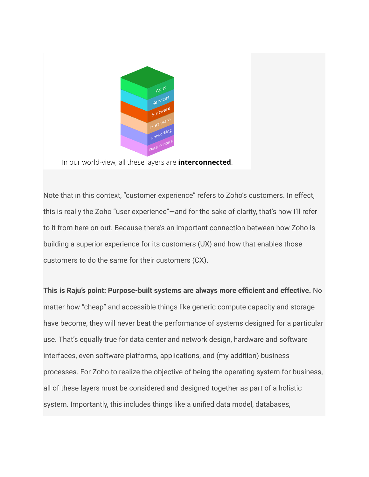

In our world-view, all these layers are *interconnected*.

Note that in this context, "customer experience" refers to Zoho's customers. In effect, this is really the Zoho "user experience"—and for the sake of clarity, that's how I'll refer to it from here on out. Because there's an important connection between how Zoho is building a superior experience for its customers (UX) and how that enables those customers to do the same for their customers (CX).

**This is Raju's point: Purpose-built systems are always more efficient and effective.** No matter how "cheap" and accessible things like generic compute capacity and storage have become, they will never beat the performance of systems designed for a particular use. That's equally true for data center and network design, hardware and software interfaces, even software platforms, applications, and (my addition) business processes. For Zoho to realize the objective of being the operating system for business, all of these layers must be considered and designed together as part of a holistic system. Importantly, this includes things like a unified data model, databases,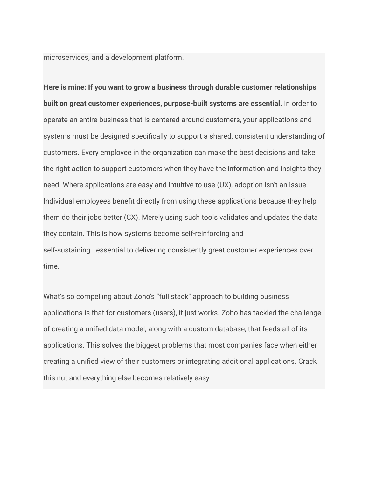microservices, and a development platform.

**Here is mine: If you want to grow a business through durable customer relationships built on great customer experiences, purpose-built systems are essential.** In order to operate an entire business that is centered around customers, your applications and systems must be designed specifically to support a shared, consistent understanding of customers. Every employee in the organization can make the best decisions and take the right action to support customers when they have the information and insights they need. Where applications are easy and intuitive to use (UX), adoption isn't an issue. Individual employees benefit directly from using these applications because they help them do their jobs better (CX). Merely using such tools validates and updates the data they contain. This is how systems become self-reinforcing and self-sustaining—essential to delivering consistently great customer experiences over time.

What's so compelling about Zoho's "full stack" approach to building business applications is that for customers (users), it just works. Zoho has tackled the challenge of creating a unified data model, along with a custom database, that feeds all of its applications. This solves the biggest problems that most companies face when either creating a unified view of their customers or integrating additional applications. Crack this nut and everything else becomes relatively easy.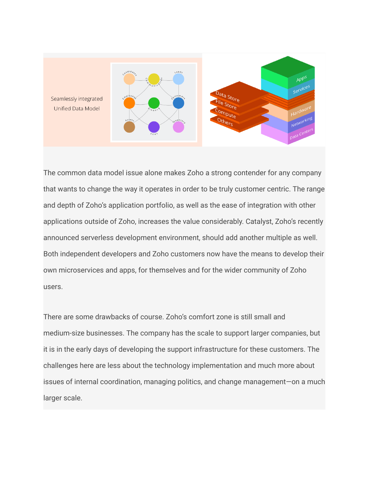

The common data model issue alone makes Zoho a strong contender for any company that wants to change the way it operates in order to be truly customer centric. The range and depth of Zoho's application portfolio, as well as the ease of integration with other applications outside of Zoho, increases the value considerably. Catalyst, Zoho's recently announced serverless development environment, should add another multiple as well. Both independent developers and Zoho customers now have the means to develop their own microservices and apps, for themselves and for the wider community of Zoho users.

There are some drawbacks of course. Zoho's comfort zone is still small and medium-size businesses. The company has the scale to support larger companies, but it is in the early days of developing the support infrastructure for these customers. The challenges here are less about the technology implementation and much more about issues of internal coordination, managing politics, and change management—on a much larger scale.